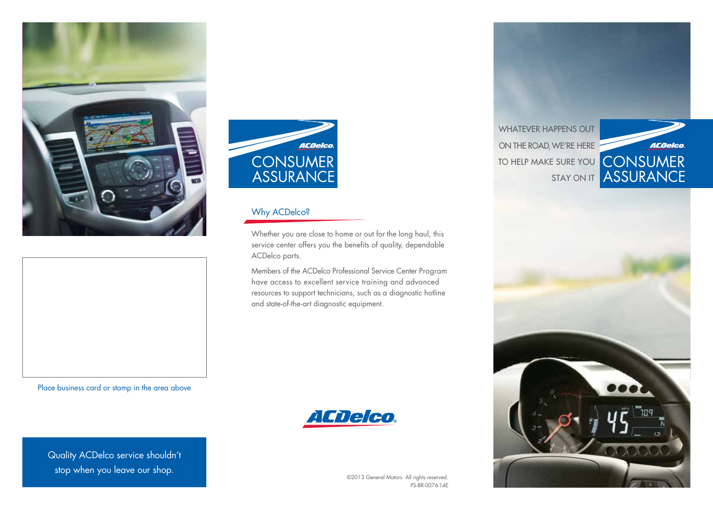



Place business card or stamp in the area above

Quality ACDelco service shouldn't stop when you leave our shop.



# Why ACDelco?

Whether you are close to home or out for the long haul, this service center offers you the benefits of quality, dependable ACDelco parts.

Members of the ACDelco Professional Service Center Program have access to excellent service training and advanced resources to support technicians, such as a diagnostic hotline and state-of-the-art diagnostic equipment.



©2013 General Motors. All rights reserved. PS-BR-0076-14E

WHATEVER HAPPENS OUT on the road, We're here to help make sure you